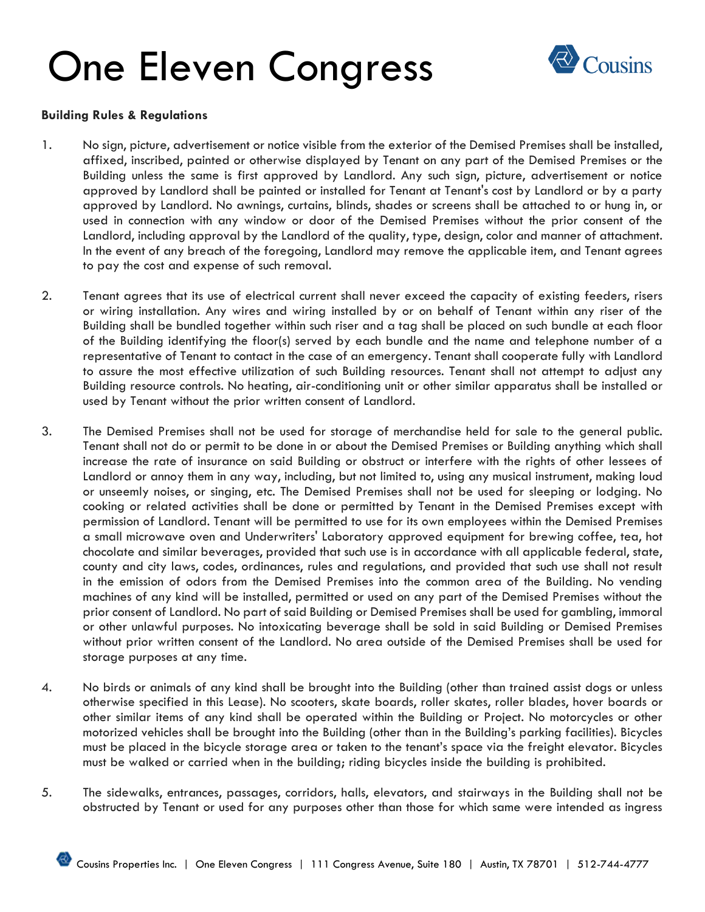

#### **Building Rules & Regulations**

- 1. No sign, picture, advertisement or notice visible from the exterior of the Demised Premises shall be installed, affixed, inscribed, painted or otherwise displayed by Tenant on any part of the Demised Premises or the Building unless the same is first approved by Landlord. Any such sign, picture, advertisement or notice approved by Landlord shall be painted or installed for Tenant at Tenant's cost by Landlord or by a party approved by Landlord. No awnings, curtains, blinds, shades or screens shall be attached to or hung in, or used in connection with any window or door of the Demised Premises without the prior consent of the Landlord, including approval by the Landlord of the quality, type, design, color and manner of attachment. In the event of any breach of the foregoing, Landlord may remove the applicable item, and Tenant agrees to pay the cost and expense of such removal.
- 2. Tenant agrees that its use of electrical current shall never exceed the capacity of existing feeders, risers or wiring installation. Any wires and wiring installed by or on behalf of Tenant within any riser of the Building shall be bundled together within such riser and a tag shall be placed on such bundle at each floor of the Building identifying the floor(s) served by each bundle and the name and telephone number of a representative of Tenant to contact in the case of an emergency. Tenant shall cooperate fully with Landlord to assure the most effective utilization of such Building resources. Tenant shall not attempt to adjust any Building resource controls. No heating, air-conditioning unit or other similar apparatus shall be installed or used by Tenant without the prior written consent of Landlord.
- 3. The Demised Premises shall not be used for storage of merchandise held for sale to the general public. Tenant shall not do or permit to be done in or about the Demised Premises or Building anything which shall increase the rate of insurance on said Building or obstruct or interfere with the rights of other lessees of Landlord or annoy them in any way, including, but not limited to, using any musical instrument, making loud or unseemly noises, or singing, etc. The Demised Premises shall not be used for sleeping or lodging. No cooking or related activities shall be done or permitted by Tenant in the Demised Premises except with permission of Landlord. Tenant will be permitted to use for its own employees within the Demised Premises a small microwave oven and Underwriters' Laboratory approved equipment for brewing coffee, tea, hot chocolate and similar beverages, provided that such use is in accordance with all applicable federal, state, county and city laws, codes, ordinances, rules and regulations, and provided that such use shall not result in the emission of odors from the Demised Premises into the common area of the Building. No vending machines of any kind will be installed, permitted or used on any part of the Demised Premises without the prior consent of Landlord. No part of said Building or Demised Premises shall be used for gambling, immoral or other unlawful purposes. No intoxicating beverage shall be sold in said Building or Demised Premises without prior written consent of the Landlord. No area outside of the Demised Premises shall be used for storage purposes at any time.
- 4. No birds or animals of any kind shall be brought into the Building (other than trained assist dogs or unless otherwise specified in this Lease). No scooters, skate boards, roller skates, roller blades, hover boards or other similar items of any kind shall be operated within the Building or Project. No motorcycles or other motorized vehicles shall be brought into the Building (other than in the Building's parking facilities). Bicycles must be placed in the bicycle storage area or taken to the tenant's space via the freight elevator. Bicycles must be walked or carried when in the building; riding bicycles inside the building is prohibited.
- 5. The sidewalks, entrances, passages, corridors, halls, elevators, and stairways in the Building shall not be obstructed by Tenant or used for any purposes other than those for which same were intended as ingress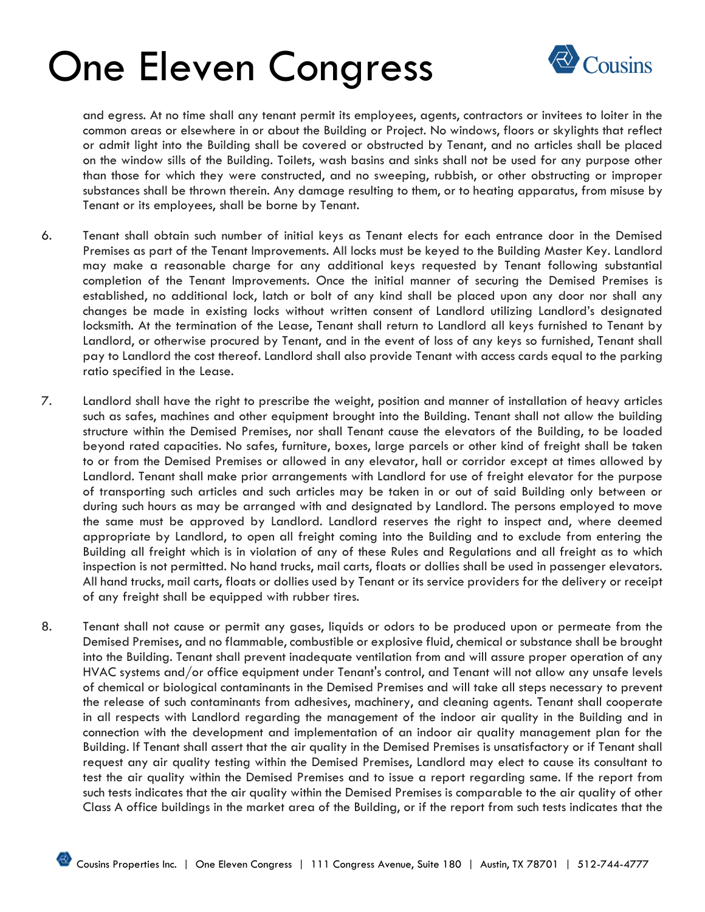

and egress. At no time shall any tenant permit its employees, agents, contractors or invitees to loiter in the common areas or elsewhere in or about the Building or Project. No windows, floors or skylights that reflect or admit light into the Building shall be covered or obstructed by Tenant, and no articles shall be placed on the window sills of the Building. Toilets, wash basins and sinks shall not be used for any purpose other than those for which they were constructed, and no sweeping, rubbish, or other obstructing or improper substances shall be thrown therein. Any damage resulting to them, or to heating apparatus, from misuse by Tenant or its employees, shall be borne by Tenant.

- 6. Tenant shall obtain such number of initial keys as Tenant elects for each entrance door in the Demised Premises as part of the Tenant Improvements. All locks must be keyed to the Building Master Key. Landlord may make a reasonable charge for any additional keys requested by Tenant following substantial completion of the Tenant Improvements. Once the initial manner of securing the Demised Premises is established, no additional lock, latch or bolt of any kind shall be placed upon any door nor shall any changes be made in existing locks without written consent of Landlord utilizing Landlord's designated locksmith. At the termination of the Lease, Tenant shall return to Landlord all keys furnished to Tenant by Landlord, or otherwise procured by Tenant, and in the event of loss of any keys so furnished, Tenant shall pay to Landlord the cost thereof. Landlord shall also provide Tenant with access cards equal to the parking ratio specified in the Lease.
- 7. Landlord shall have the right to prescribe the weight, position and manner of installation of heavy articles such as safes, machines and other equipment brought into the Building. Tenant shall not allow the building structure within the Demised Premises, nor shall Tenant cause the elevators of the Building, to be loaded beyond rated capacities. No safes, furniture, boxes, large parcels or other kind of freight shall be taken to or from the Demised Premises or allowed in any elevator, hall or corridor except at times allowed by Landlord. Tenant shall make prior arrangements with Landlord for use of freight elevator for the purpose of transporting such articles and such articles may be taken in or out of said Building only between or during such hours as may be arranged with and designated by Landlord. The persons employed to move the same must be approved by Landlord. Landlord reserves the right to inspect and, where deemed appropriate by Landlord, to open all freight coming into the Building and to exclude from entering the Building all freight which is in violation of any of these Rules and Regulations and all freight as to which inspection is not permitted. No hand trucks, mail carts, floats or dollies shall be used in passenger elevators. All hand trucks, mail carts, floats or dollies used by Tenant or its service providers for the delivery or receipt of any freight shall be equipped with rubber tires.
- 8. Tenant shall not cause or permit any gases, liquids or odors to be produced upon or permeate from the Demised Premises, and no flammable, combustible or explosive fluid, chemical or substance shall be brought into the Building. Tenant shall prevent inadequate ventilation from and will assure proper operation of any HVAC systems and/or office equipment under Tenant's control, and Tenant will not allow any unsafe levels of chemical or biological contaminants in the Demised Premises and will take all steps necessary to prevent the release of such contaminants from adhesives, machinery, and cleaning agents. Tenant shall cooperate in all respects with Landlord regarding the management of the indoor air quality in the Building and in connection with the development and implementation of an indoor air quality management plan for the Building. If Tenant shall assert that the air quality in the Demised Premises is unsatisfactory or if Tenant shall request any air quality testing within the Demised Premises, Landlord may elect to cause its consultant to test the air quality within the Demised Premises and to issue a report regarding same. If the report from such tests indicates that the air quality within the Demised Premises is comparable to the air quality of other Class A office buildings in the market area of the Building, or if the report from such tests indicates that the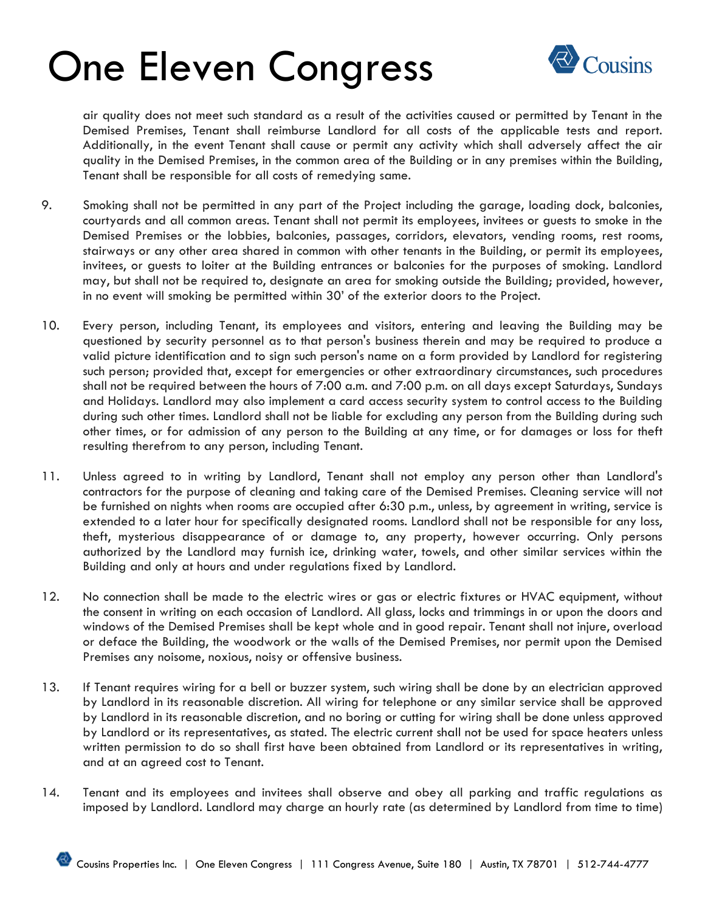

air quality does not meet such standard as a result of the activities caused or permitted by Tenant in the Demised Premises, Tenant shall reimburse Landlord for all costs of the applicable tests and report. Additionally, in the event Tenant shall cause or permit any activity which shall adversely affect the air quality in the Demised Premises, in the common area of the Building or in any premises within the Building, Tenant shall be responsible for all costs of remedying same.

- 9. Smoking shall not be permitted in any part of the Project including the garage, loading dock, balconies, courtyards and all common areas. Tenant shall not permit its employees, invitees or guests to smoke in the Demised Premises or the lobbies, balconies, passages, corridors, elevators, vending rooms, rest rooms, stairways or any other area shared in common with other tenants in the Building, or permit its employees, invitees, or guests to loiter at the Building entrances or balconies for the purposes of smoking. Landlord may, but shall not be required to, designate an area for smoking outside the Building; provided, however, in no event will smoking be permitted within 30' of the exterior doors to the Project.
- 10. Every person, including Tenant, its employees and visitors, entering and leaving the Building may be questioned by security personnel as to that person's business therein and may be required to produce a valid picture identification and to sign such person's name on a form provided by Landlord for registering such person; provided that, except for emergencies or other extraordinary circumstances, such procedures shall not be required between the hours of 7:00 a.m. and 7:00 p.m. on all days except Saturdays, Sundays and Holidays. Landlord may also implement a card access security system to control access to the Building during such other times. Landlord shall not be liable for excluding any person from the Building during such other times, or for admission of any person to the Building at any time, or for damages or loss for theft resulting therefrom to any person, including Tenant.
- 11. Unless agreed to in writing by Landlord, Tenant shall not employ any person other than Landlord's contractors for the purpose of cleaning and taking care of the Demised Premises. Cleaning service will not be furnished on nights when rooms are occupied after 6:30 p.m., unless, by agreement in writing, service is extended to a later hour for specifically designated rooms. Landlord shall not be responsible for any loss, theft, mysterious disappearance of or damage to, any property, however occurring. Only persons authorized by the Landlord may furnish ice, drinking water, towels, and other similar services within the Building and only at hours and under regulations fixed by Landlord.
- 12. No connection shall be made to the electric wires or gas or electric fixtures or HVAC equipment, without the consent in writing on each occasion of Landlord. All glass, locks and trimmings in or upon the doors and windows of the Demised Premises shall be kept whole and in good repair. Tenant shall not injure, overload or deface the Building, the woodwork or the walls of the Demised Premises, nor permit upon the Demised Premises any noisome, noxious, noisy or offensive business.
- 13. If Tenant requires wiring for a bell or buzzer system, such wiring shall be done by an electrician approved by Landlord in its reasonable discretion. All wiring for telephone or any similar service shall be approved by Landlord in its reasonable discretion, and no boring or cutting for wiring shall be done unless approved by Landlord or its representatives, as stated. The electric current shall not be used for space heaters unless written permission to do so shall first have been obtained from Landlord or its representatives in writing, and at an agreed cost to Tenant.
- 14. Tenant and its employees and invitees shall observe and obey all parking and traffic regulations as imposed by Landlord. Landlord may charge an hourly rate (as determined by Landlord from time to time)

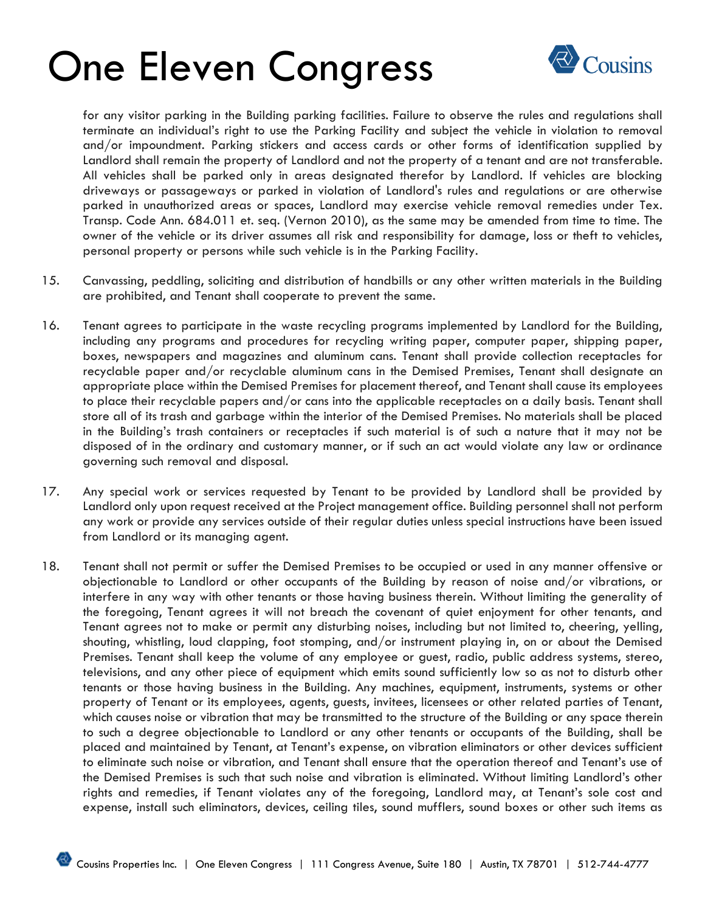

for any visitor parking in the Building parking facilities. Failure to observe the rules and regulations shall terminate an individual's right to use the Parking Facility and subject the vehicle in violation to removal and/or impoundment. Parking stickers and access cards or other forms of identification supplied by Landlord shall remain the property of Landlord and not the property of a tenant and are not transferable. All vehicles shall be parked only in areas designated therefor by Landlord. If vehicles are blocking driveways or passageways or parked in violation of Landlord's rules and regulations or are otherwise parked in unauthorized areas or spaces, Landlord may exercise vehicle removal remedies under Tex. Transp. Code Ann. 684.011 et. seq. (Vernon 2010), as the same may be amended from time to time. The owner of the vehicle or its driver assumes all risk and responsibility for damage, loss or theft to vehicles, personal property or persons while such vehicle is in the Parking Facility.

- 15. Canvassing, peddling, soliciting and distribution of handbills or any other written materials in the Building are prohibited, and Tenant shall cooperate to prevent the same.
- 16. Tenant agrees to participate in the waste recycling programs implemented by Landlord for the Building, including any programs and procedures for recycling writing paper, computer paper, shipping paper, boxes, newspapers and magazines and aluminum cans. Tenant shall provide collection receptacles for recyclable paper and/or recyclable aluminum cans in the Demised Premises, Tenant shall designate an appropriate place within the Demised Premises for placement thereof, and Tenant shall cause its employees to place their recyclable papers and/or cans into the applicable receptacles on a daily basis. Tenant shall store all of its trash and garbage within the interior of the Demised Premises. No materials shall be placed in the Building's trash containers or receptacles if such material is of such a nature that it may not be disposed of in the ordinary and customary manner, or if such an act would violate any law or ordinance governing such removal and disposal.
- 17. Any special work or services requested by Tenant to be provided by Landlord shall be provided by Landlord only upon request received at the Project management office. Building personnel shall not perform any work or provide any services outside of their regular duties unless special instructions have been issued from Landlord or its managing agent.
- 18. Tenant shall not permit or suffer the Demised Premises to be occupied or used in any manner offensive or objectionable to Landlord or other occupants of the Building by reason of noise and/or vibrations, or interfere in any way with other tenants or those having business therein. Without limiting the generality of the foregoing, Tenant agrees it will not breach the covenant of quiet enjoyment for other tenants, and Tenant agrees not to make or permit any disturbing noises, including but not limited to, cheering, yelling, shouting, whistling, loud clapping, foot stomping, and/or instrument playing in, on or about the Demised Premises. Tenant shall keep the volume of any employee or guest, radio, public address systems, stereo, televisions, and any other piece of equipment which emits sound sufficiently low so as not to disturb other tenants or those having business in the Building. Any machines, equipment, instruments, systems or other property of Tenant or its employees, agents, guests, invitees, licensees or other related parties of Tenant, which causes noise or vibration that may be transmitted to the structure of the Building or any space therein to such a degree objectionable to Landlord or any other tenants or occupants of the Building, shall be placed and maintained by Tenant, at Tenant's expense, on vibration eliminators or other devices sufficient to eliminate such noise or vibration, and Tenant shall ensure that the operation thereof and Tenant's use of the Demised Premises is such that such noise and vibration is eliminated. Without limiting Landlord's other rights and remedies, if Tenant violates any of the foregoing, Landlord may, at Tenant's sole cost and expense, install such eliminators, devices, ceiling tiles, sound mufflers, sound boxes or other such items as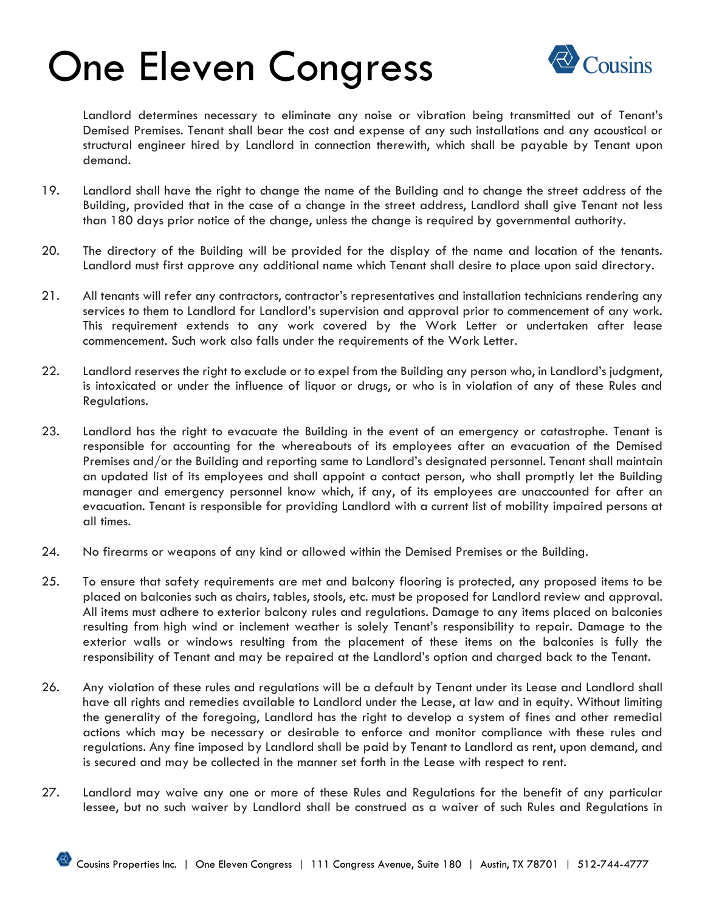

Landlord determines necessary to eliminate any noise or vibration being transmitted out of Tenant's Demised Premises. Tenant shall bear the cost and expense of any such installations and any acoustical or structural engineer hired by Landlord in connection therewith, which shall be payable by Tenant upon demand.

- 19. Landlord shall have the right to change the name of the Building and to change the street address of the Building, provided that in the case of a change in the street address, Landlord shall give Tenant not less than 180 days prior notice of the change, unless the change is required by governmental authority.
- 20. The directory of the Building will be provided for the display of the name and location of the tenants. Landlord must first approve any additional name which Tenant shall desire to place upon said directory.
- 21. All tenants will refer any contractors, contractor's representatives and installation technicians rendering any services to them to Landlord for Landlord's supervision and approval prior to commencement of any work. This requirement extends to any work covered by the Work Letter or undertaken after lease commencement. Such work also falls under the requirements of the Work Letter.
- 22. Landlord reserves the right to exclude or to expel from the Building any person who, in Landlord's judgment, is intoxicated or under the influence of liquor or drugs, or who is in violation of any of these Rules and Regulations.
- 23. Landlord has the right to evacuate the Building in the event of an emergency or catastrophe. Tenant is responsible for accounting for the whereabouts of its employees after an evacuation of the Demised Premises and/or the Building and reporting same to Landlord's designated personnel. Tenant shall maintain an updated list of its employees and shall appoint a contact person, who shall promptly let the Building manager and emergency personnel know which, if any, of its employees are unaccounted for after an evacuation. Tenant is responsible for providing Landlord with a current list of mobility impaired persons at all times.
- 24. No firearms or weapons of any kind or allowed within the Demised Premises or the Building.
- 25. To ensure that safety requirements are met and balcony flooring is protected, any proposed items to be placed on balconies such as chairs, tables, stools, etc. must be proposed for Landlord review and approval. All items must adhere to exterior balcony rules and regulations. Damage to any items placed on balconies resulting from high wind or inclement weather is solely Tenant's responsibility to repair. Damage to the exterior walls or windows resulting from the placement of these items on the balconies is fully the responsibility of Tenant and may be repaired at the Landlord's option and charged back to the Tenant.
- 26. Any violation of these rules and regulations will be a default by Tenant under its Lease and Landlord shall have all rights and remedies available to Landlord under the Lease, at law and in equity. Without limiting the generality of the foregoing, Landlord has the right to develop a system of fines and other remedial actions which may be necessary or desirable to enforce and monitor compliance with these rules and regulations. Any fine imposed by Landlord shall be paid by Tenant to Landlord as rent, upon demand, and is secured and may be collected in the manner set forth in the Lease with respect to rent.
- 27. Landlord may waive any one or more of these Rules and Regulations for the benefit of any particular lessee, but no such waiver by Landlord shall be construed as a waiver of such Rules and Regulations in